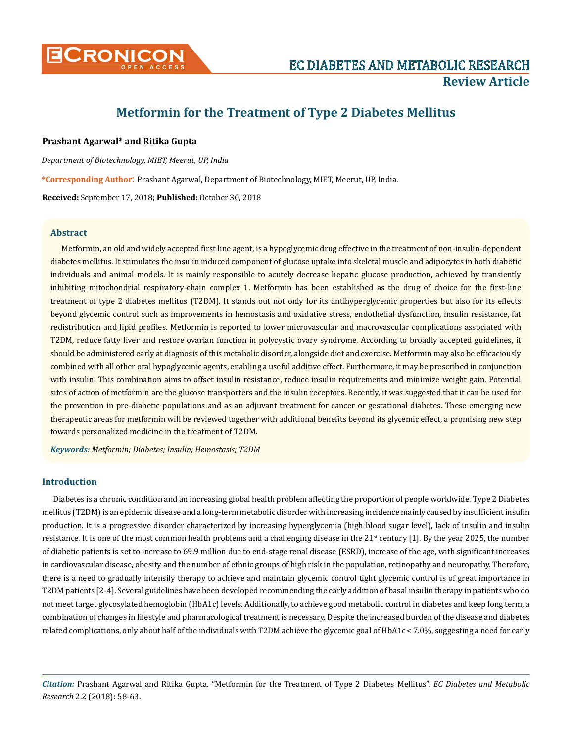

# **Metformin for the Treatment of Type 2 Diabetes Mellitus**

## **Prashant Agarwal\* and Ritika Gupta**

*Department of Biotechnology, MIET, Meerut, UP, India*

**\*Corresponding Author**: Prashant Agarwal, Department of Biotechnology, MIET, Meerut, UP, India.

**Received:** September 17, 2018; **Published:** October 30, 2018

## **Abstract**

Metformin, an old and widely accepted first line agent, is a hypoglycemic drug effective in the treatment of non-insulin-dependent diabetes mellitus. It stimulates the insulin induced component of glucose uptake into skeletal muscle and adipocytes in both diabetic individuals and animal models. It is mainly responsible to acutely decrease hepatic glucose production, achieved by transiently inhibiting mitochondrial respiratory-chain complex 1. Metformin has been established as the drug of choice for the first-line treatment of type 2 diabetes mellitus (T2DM). It stands out not only for its antihyperglycemic properties but also for its effects beyond glycemic control such as improvements in hemostasis and oxidative stress, endothelial dysfunction, insulin resistance, fat redistribution and lipid profiles. Metformin is reported to lower microvascular and macrovascular complications associated with T2DM, reduce fatty liver and restore ovarian function in polycystic ovary syndrome. According to broadly accepted guidelines, it should be administered early at diagnosis of this metabolic disorder, alongside diet and exercise. Metformin may also be efficaciously combined with all other oral hypoglycemic agents, enabling a useful additive effect. Furthermore, it may be prescribed in conjunction with insulin. This combination aims to offset insulin resistance, reduce insulin requirements and minimize weight gain. Potential sites of action of metformin are the glucose transporters and the insulin receptors. Recently, it was suggested that it can be used for the prevention in pre-diabetic populations and as an adjuvant treatment for cancer or gestational diabetes. These emerging new therapeutic areas for metformin will be reviewed together with additional benefits beyond its glycemic effect, a promising new step towards personalized medicine in the treatment of T2DM.

*Keywords: Metformin; Diabetes; Insulin; Hemostasis; T2DM*

## **Introduction**

Diabetes is a chronic condition and an increasing global health problem affecting the proportion of people worldwide. Type 2 Diabetes mellitus (T2DM) is an epidemic disease and a long-term metabolic disorder with increasing incidence mainly caused by insufficient insulin production. It is a progressive disorder characterized by increasing hyperglycemia (high blood sugar level), lack of insulin and insulin resistance. It is one of the most common health problems and a challenging disease in the  $21<sup>st</sup>$  century [1]. By the year 2025, the number of diabetic patients is set to increase to 69.9 million due to end-stage renal disease (ESRD), increase of the age, with significant increases in cardiovascular disease, obesity and the number of ethnic groups of high risk in the population, retinopathy and neuropathy. Therefore, there is a need to gradually intensify therapy to achieve and maintain glycemic control tight glycemic control is of great importance in T2DM patients [2-4]. Several guidelines have been developed recommending the early addition of basal insulin therapy in patients who do not meet target glycosylated hemoglobin (HbA1c) levels. Additionally, to achieve good metabolic control in diabetes and keep long term, a combination of changes in lifestyle and pharmacological treatment is necessary. Despite the increased burden of the disease and diabetes related complications, only about half of the individuals with T2DM achieve the glycemic goal of HbA1c < 7.0%, suggesting a need for early

*Citation:* Prashant Agarwal and Ritika Gupta. "Metformin for the Treatment of Type 2 Diabetes Mellitus". *EC Diabetes and Metabolic Research* 2.2 (2018): 58-63.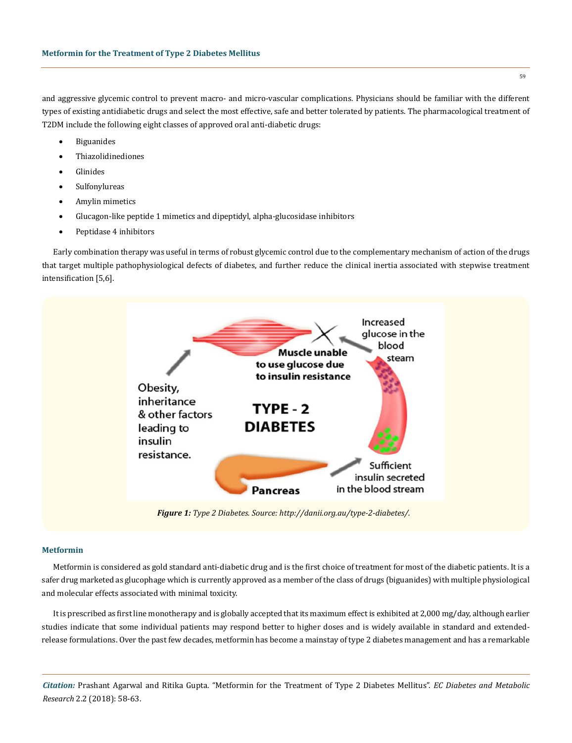and aggressive glycemic control to prevent macro- and micro-vascular complications. Physicians should be familiar with the different types of existing antidiabetic drugs and select the most effective, safe and better tolerated by patients. The pharmacological treatment of T2DM include the following eight classes of approved oral anti-diabetic drugs:

- **Biguanides**
- **Thiazolidinediones**
- **Glinides**
- • Sulfonylureas
- Amylin mimetics
- Glucagon-like peptide 1 mimetics and dipeptidyl, alpha-glucosidase inhibitors
- Peptidase 4 inhibitors

Early combination therapy was useful in terms of robust glycemic control due to the complementary mechanism of action of the drugs that target multiple pathophysiological defects of diabetes, and further reduce the clinical inertia associated with stepwise treatment intensification [5,6].



*Figure 1: Type 2 Diabetes. Source: http://danii.org.au/type-2-diabetes/.*

#### **Metformin**

Metformin is considered as gold standard anti-diabetic drug and is the first choice of treatment for most of the diabetic patients. It is a safer drug marketed as glucophage which is currently approved as a member of the class of drugs (biguanides) with multiple physiological and molecular effects associated with minimal toxicity.

It is prescribed as first line monotherapy and is globally accepted that its maximum effect is exhibited at 2,000 mg/day, although earlier studies indicate that some individual patients may respond better to higher doses and is widely available in standard and extendedrelease formulations. Over the past few decades, metformin has become a mainstay of type 2 diabetes management and has a remarkable

*Citation:* Prashant Agarwal and Ritika Gupta. "Metformin for the Treatment of Type 2 Diabetes Mellitus". *EC Diabetes and Metabolic Research* 2.2 (2018): 58-63.

59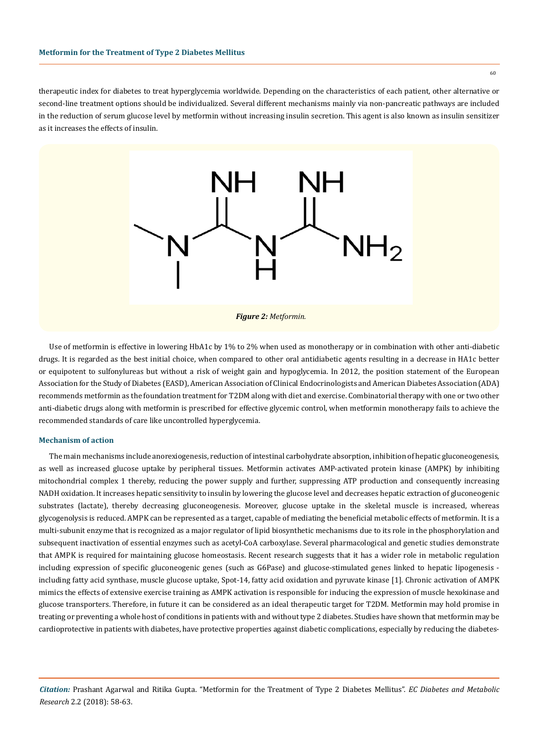therapeutic index for diabetes to treat hyperglycemia worldwide. Depending on the characteristics of each patient, other alternative or second-line treatment options should be individualized. Several different mechanisms mainly via non-pancreatic pathways are included in the reduction of serum glucose level by metformin without increasing insulin secretion. This agent is also known as insulin sensitizer as it increases the effects of insulin.



Use of metformin is effective in lowering HbA1c by 1% to 2% when used as monotherapy or in combination with other anti-diabetic drugs. It is regarded as the best initial choice, when compared to other oral antidiabetic agents resulting in a decrease in HA1c better or equipotent to sulfonylureas but without a risk of weight gain and hypoglycemia. In 2012, the position statement of the European Association for the Study of Diabetes (EASD), American Association of Clinical Endocrinologists and American Diabetes Association (ADA) recommends metformin as the foundation treatment for T2DM along with diet and exercise. Combinatorial therapy with one or two other anti-diabetic drugs along with metformin is prescribed for effective glycemic control, when metformin monotherapy fails to achieve the recommended standards of care like uncontrolled hyperglycemia.

### **Mechanism of action**

The main mechanisms include anorexiogenesis, reduction of intestinal carbohydrate absorption, inhibition of hepatic gluconeogenesis, as well as increased glucose uptake by peripheral tissues. Metformin activates AMP-activated protein kinase (AMPK) by inhibiting mitochondrial complex 1 thereby, reducing the power supply and further, suppressing ATP production and consequently increasing NADH oxidation. It increases hepatic sensitivity to insulin by lowering the glucose level and decreases hepatic extraction of gluconeogenic substrates (lactate), thereby decreasing gluconeogenesis. Moreover, glucose uptake in the skeletal muscle is increased, whereas glycogenolysis is reduced. AMPK can be represented as a target, capable of mediating the beneficial metabolic effects of metformin. It is a multi-subunit enzyme that is recognized as a major regulator of lipid biosynthetic mechanisms due to its role in the phosphorylation and subsequent inactivation of essential enzymes such as acetyl-CoA carboxylase. Several pharmacological and genetic studies demonstrate that AMPK is required for maintaining glucose homeostasis. Recent research suggests that it has a wider role in metabolic regulation including expression of specific gluconeogenic genes (such as G6Pase) and glucose-stimulated genes linked to hepatic lipogenesis including fatty acid synthase, muscle glucose uptake, Spot-14, fatty acid oxidation and pyruvate kinase [1]. Chronic activation of AMPK mimics the effects of extensive exercise training as AMPK activation is responsible for inducing the expression of muscle hexokinase and glucose transporters. Therefore, in future it can be considered as an ideal therapeutic target for T2DM. Metformin may hold promise in treating or preventing a whole host of conditions in patients with and without type 2 diabetes. Studies have shown that metformin may be cardioprotective in patients with diabetes, have protective properties against diabetic complications, especially by reducing the diabetes-

*Citation:* Prashant Agarwal and Ritika Gupta. "Metformin for the Treatment of Type 2 Diabetes Mellitus". *EC Diabetes and Metabolic Research* 2.2 (2018): 58-63.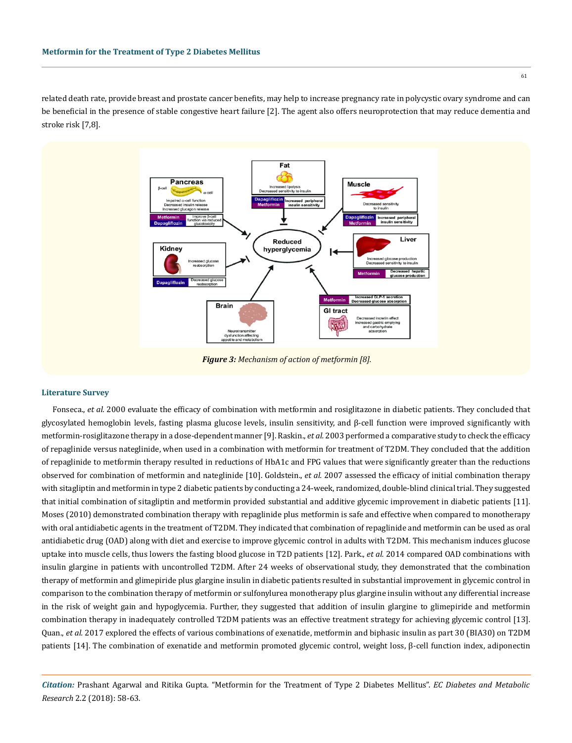related death rate, provide breast and prostate cancer benefits, may help to increase pregnancy rate in polycystic ovary syndrome and can be beneficial in the presence of stable congestive heart failure [2]. The agent also offers neuroprotection that may reduce dementia and stroke risk [7,8].



#### **Literature Survey**

Fonseca., *et al.* 2000 evaluate the efficacy of combination with metformin and rosiglitazone in diabetic patients. They concluded that glycosylated hemoglobin levels, fasting plasma glucose levels, insulin sensitivity, and β-cell function were improved significantly with metformin-rosiglitazone therapy in a dose-dependent manner [9]. Raskin., *et al.* 2003 performed a comparative study to check the efficacy of repaglinide versus nateglinide, when used in a combination with metformin for treatment of T2DM. They concluded that the addition of repaglinide to metformin therapy resulted in reductions of HbA1c and FPG values that were significantly greater than the reductions observed for combination of metformin and nateglinide [10]. Goldstein., *et al.* 2007 assessed the efficacy of initial combination therapy with sitagliptin and metformin in type 2 diabetic patients by conducting a 24-week, randomized, double-blind clinical trial. They suggested that initial combination of sitagliptin and metformin provided substantial and additive glycemic improvement in diabetic patients [11]. Moses (2010) demonstrated combination therapy with repaglinide plus metformin is safe and effective when compared to monotherapy with oral antidiabetic agents in the treatment of T2DM. They indicated that combination of repaglinide and metformin can be used as oral antidiabetic drug (OAD) along with diet and exercise to improve glycemic control in adults with T2DM. This mechanism induces glucose uptake into muscle cells, thus lowers the fasting blood glucose in T2D patients [12]. Park., *et al.* 2014 compared OAD combinations with insulin glargine in patients with uncontrolled T2DM. After 24 weeks of observational study, they demonstrated that the combination therapy of metformin and glimepiride plus glargine insulin in diabetic patients resulted in substantial improvement in glycemic control in comparison to the combination therapy of metformin or sulfonylurea monotherapy plus glargine insulin without any differential increase in the risk of weight gain and hypoglycemia. Further, they suggested that addition of insulin glargine to glimepiride and metformin combination therapy in inadequately controlled T2DM patients was an effective treatment strategy for achieving glycemic control [13]. Quan., *et al.* 2017 explored the effects of various combinations of exenatide, metformin and biphasic insulin as part 30 (BIA30) on T2DM patients [14]. The combination of exenatide and metformin promoted glycemic control, weight loss, β-cell function index, adiponectin

*Citation:* Prashant Agarwal and Ritika Gupta. "Metformin for the Treatment of Type 2 Diabetes Mellitus". *EC Diabetes and Metabolic Research* 2.2 (2018): 58-63.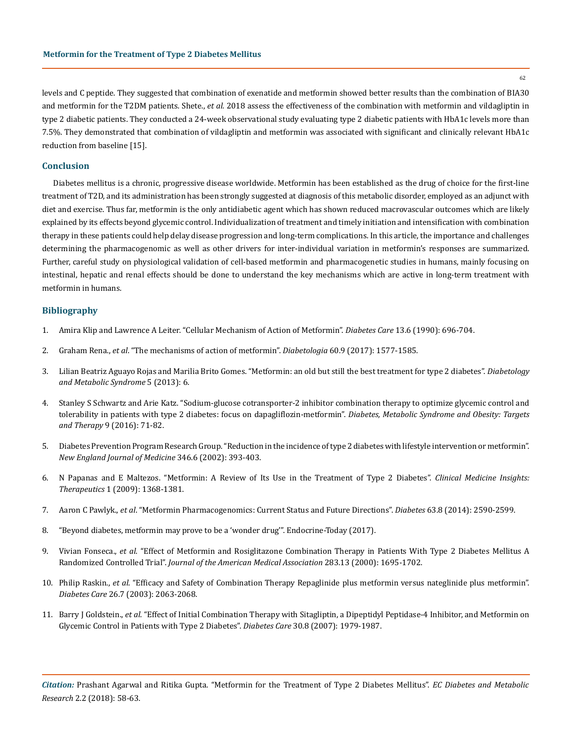62

levels and C peptide. They suggested that combination of exenatide and metformin showed better results than the combination of BIA30 and metformin for the T2DM patients. Shete., *et al.* 2018 assess the effectiveness of the combination with metformin and vildagliptin in type 2 diabetic patients. They conducted a 24-week observational study evaluating type 2 diabetic patients with HbA1c levels more than 7.5%. They demonstrated that combination of vildagliptin and metformin was associated with significant and clinically relevant HbA1c reduction from baseline [15].

## **Conclusion**

Diabetes mellitus is a chronic, progressive disease worldwide. Metformin has been established as the drug of choice for the first-line treatment of T2D, and its administration has been strongly suggested at diagnosis of this metabolic disorder, employed as an adjunct with diet and exercise. Thus far, metformin is the only antidiabetic agent which has shown reduced macrovascular outcomes which are likely explained by its effects beyond glycemic control. Individualization of treatment and timely initiation and intensification with combination therapy in these patients could help delay disease progression and long-term complications. In this article, the importance and challenges determining the pharmacogenomic as well as other drivers for inter-individual variation in metformin's responses are summarized. Further, careful study on physiological validation of cell-based metformin and pharmacogenetic studies in humans, mainly focusing on intestinal, hepatic and renal effects should be done to understand the key mechanisms which are active in long-term treatment with metformin in humans.

# **Bibliography**

- 1. [Amira Klip and Lawrence A Leiter. "Cellular Mechanism of Action of Metformin".](https://www.ncbi.nlm.nih.gov/pubmed/2162756) *Diabetes Care* 13.6 (1990): 696-704.
- 2. Graham Rena., *et al*[. "The mechanisms of action of metformin".](https://www.ncbi.nlm.nih.gov/pubmed/28776086) *Diabetologia* 60.9 (2017): 1577-1585.
- 3. [Lilian Beatriz Aguayo Rojas and Marilia Brito Gomes. "Metformin: an old but still the best treatment for type 2 diabetes".](https://www.ncbi.nlm.nih.gov/pmc/articles/PMC3607889/) *Diabetology [and Metabolic Syndrome](https://www.ncbi.nlm.nih.gov/pmc/articles/PMC3607889/)* 5 (2013): 6.
- 4. [Stanley S Schwartz and Arie Katz. "Sodium-glucose cotransporter-2 inhibitor combination therapy to optimize glycemic control and](https://www.ncbi.nlm.nih.gov/pubmed/27042132)  [tolerability in patients with type 2 diabetes: focus on dapagliflozin-metformin".](https://www.ncbi.nlm.nih.gov/pubmed/27042132) *Diabetes, Metabolic Syndrome and Obesity: Targets and Therapy* [9 \(2016\): 71-82.](https://www.ncbi.nlm.nih.gov/pubmed/27042132)
- 5. [Diabetes Prevention Program Research Group. "Reduction in the incidence of type 2 diabetes with lifestyle intervention or metformin".](https://www.nejm.org/doi/full/10.1056/NEJMoa012512)  *[New England Journal of Medicine](https://www.nejm.org/doi/full/10.1056/NEJMoa012512)* 346.6 (2002): 393-403.
- 6. [N Papanas and E Maltezos. "Metformin: A Review of Its Use in the Treatment of Type 2 Diabetes".](http://journals.sagepub.com/doi/abs/10.4137/CMT.S1085) *Clinical Medicine Insights: Therapeutics* [1 \(2009\): 1368-1381.](http://journals.sagepub.com/doi/abs/10.4137/CMT.S1085)
- 7. Aaron C Pawlyk., *et al*[. "Metformin Pharmacogenomics: Current Status and Future Directions".](https://www.ncbi.nlm.nih.gov/pubmed/25060887) *Diabetes* 63.8 (2014): 2590-2599.
- 8. ["Beyond diabetes, metformin may prove to be a 'wonder drug'". Endocrine-Today \(2017\).](https://www.healio.com/endocrinology/diabetes/news/print/endocrine-today/%7B3d599445-6a21-46c9-b694-7d91409a503f%7D/beyond-diabetes-metformin-may-prove-to-be-a-wonder-drug)
- 9. Vivian Fonseca., *et al*[. "Effect of Metformin and Rosiglitazone Combination Therapy in Patients With Type 2 Diabetes Mellitus A](https://www.ncbi.nlm.nih.gov/pubmed/10755495)  Randomized Controlled Trial". *[Journal of the American Medical Association](https://www.ncbi.nlm.nih.gov/pubmed/10755495)* 283.13 (2000): 1695-1702.
- 10. Philip Raskin., *et al*[. "Efficacy and Safety of Combination Therapy Repaglinide plus metformin versus nateglinide plus metformin".](https://www.ncbi.nlm.nih.gov/pubmed/12832314)  *Diabetes Care* [26.7 \(2003\): 2063-2068.](https://www.ncbi.nlm.nih.gov/pubmed/12832314)
- 11. Barry J Goldstein., *et al*[. "Effect of Initial Combination Therapy with Sitagliptin, a Dipeptidyl Peptidase-4 Inhibitor, and Metformin on](https://www.ncbi.nlm.nih.gov/pubmed/17485570)  [Glycemic Control in Patients with Type 2 Diabetes".](https://www.ncbi.nlm.nih.gov/pubmed/17485570) *Diabetes Care* 30.8 (2007): 1979-1987.